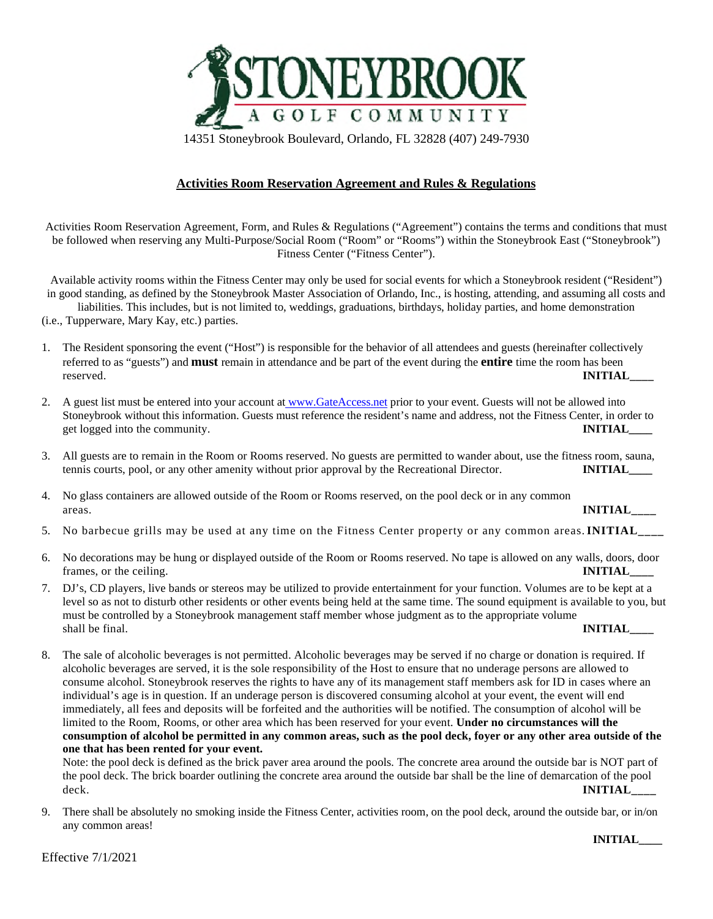

14351 Stoneybrook Boulevard, Orlando, FL 32828 (407) 249-7930

## **Activities Room Reservation Agreement and Rules & Regulations**

Activities Room Reservation Agreement, Form, and Rules & Regulations ("Agreement") contains the terms and conditions that must be followed when reserving any Multi-Purpose/Social Room ("Room" or "Rooms") within the Stoneybrook East ("Stoneybrook") Fitness Center ("Fitness Center").

Available activity rooms within the Fitness Center may only be used for social events for which a Stoneybrook resident ("Resident") in good standing, as defined by the Stoneybrook Master Association of Orlando, Inc., is hosting, attending, and assuming all costs and liabilities. This includes, but is not limited to, weddings, graduations, birthdays, holiday parties, and home demonstration

(i.e., Tupperware, Mary Kay, etc.) parties.

- 1. The Resident sponsoring the event ("Host") is responsible for the behavior of all attendees and guests (hereinafter collectively referred to as "guests") and **must** remain in attendance and be part of the event during the **entire** time the room has been reserved. **INITIAL\_\_\_\_**
- 2. A guest list must be entered into your account a[t www.GateAccess.net](http://www.gateaccess.net/) prior to your event. Guests will not be allowed into Stoneybrook without this information. Guests must reference the resident's name and address, not the Fitness Center, in order to get logged into the community. **INITIAL**
- 3. All guests are to remain in the Room or Rooms reserved. No guests are permitted to wander about, use the fitness room, sauna, tennis courts, pool, or any other amenity without prior approval by the Recreational Director. **INITIAL\_\_\_\_**
- 4. No glass containers are allowed outside of the Room or Rooms reserved, on the pool deck or in any common areas. **INITIAL\_\_\_\_**
- 5. No barbecue grills may be used at any time on the Fitness Center property or any common areas. **INITIAL\_\_\_\_**
- 6. No decorations may be hung or displayed outside of the Room or Rooms reserved. No tape is allowed on any walls, doors, door frames, or the ceiling. **INITIAL**
- 7. DJ's, CD players, live bands or stereos may be utilized to provide entertainment for your function. Volumes are to be kept at a level so as not to disturb other residents or other events being held at the same time. The sound equipment is available to you, but must be controlled by a Stoneybrook management staff member whose judgment as to the appropriate volume shall be final. **INITIAL\_\_\_\_**
- 8. The sale of alcoholic beverages is not permitted. Alcoholic beverages may be served if no charge or donation is required. If alcoholic beverages are served, it is the sole responsibility of the Host to ensure that no underage persons are allowed to consume alcohol. Stoneybrook reserves the rights to have any of its management staff members ask for ID in cases where an individual's age is in question. If an underage person is discovered consuming alcohol at your event, the event will end immediately, all fees and deposits will be forfeited and the authorities will be notified. The consumption of alcohol will be limited to the Room, Rooms, or other area which has been reserved for your event. **Under no circumstances will the consumption of alcohol be permitted in any common areas, such as the pool deck, foyer or any other area outside of the one that has been rented for your event.**

Note: the pool deck is defined as the brick paver area around the pools. The concrete area around the outside bar is NOT part of the pool deck. The brick boarder outlining the concrete area around the outside bar shall be the line of demarcation of the pool deck. **INITIAL** 

9. There shall be absolutely no smoking inside the Fitness Center, activities room, on the pool deck, around the outside bar, or in/on any common areas!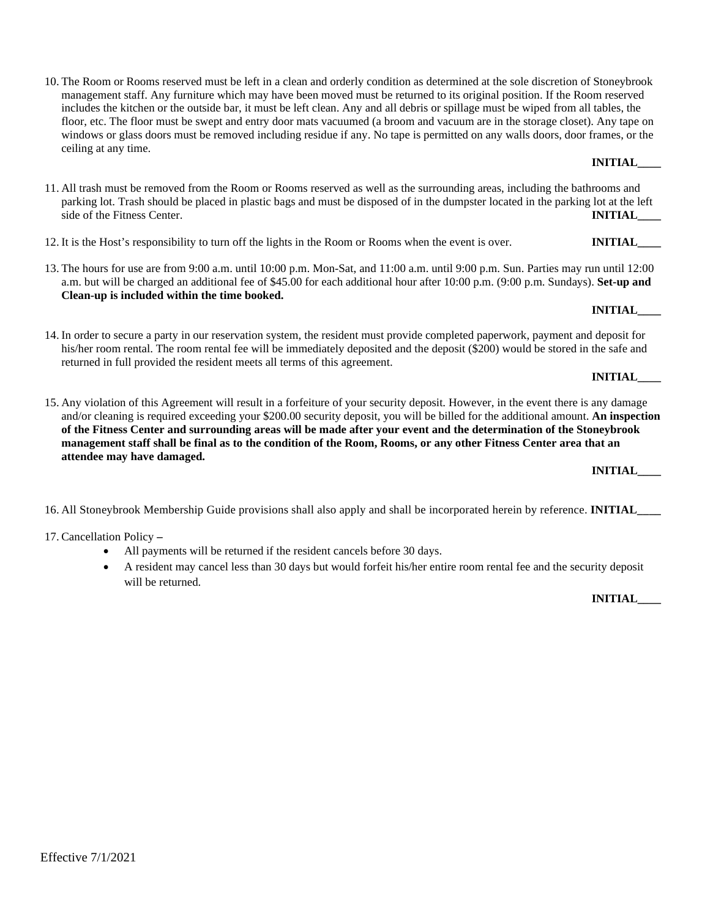10. The Room or Rooms reserved must be left in a clean and orderly condition as determined at the sole discretion of Stoneybrook management staff. Any furniture which may have been moved must be returned to its original position. If the Room reserved includes the kitchen or the outside bar, it must be left clean. Any and all debris or spillage must be wiped from all tables, the floor, etc. The floor must be swept and entry door mats vacuumed (a broom and vacuum are in the storage closet). Any tape on windows or glass doors must be removed including residue if any. No tape is permitted on any walls doors, door frames, or the ceiling at any time.

- 11. All trash must be removed from the Room or Rooms reserved as well as the surrounding areas, including the bathrooms and parking lot. Trash should be placed in plastic bags and must be disposed of in the dumpster located in the parking lot at the left side of the Fitness Center. **INITIAL**
- 12. It is the Host's responsibility to turn off the lights in the Room or Rooms when the event is over. **INITIAL\_\_\_\_**
- 13. The hours for use are from 9:00 a.m. until 10:00 p.m. Mon-Sat, and 11:00 a.m. until 9:00 p.m. Sun. Parties may run until 12:00 a.m. but will be charged an additional fee of \$45.00 for each additional hour after 10:00 p.m. (9:00 p.m. Sundays). **Set-up and Clean-up is included within the time booked.**
- 14. In order to secure a party in our reservation system, the resident must provide completed paperwork, payment and deposit for his/her room rental. The room rental fee will be immediately deposited and the deposit (\$200) would be stored in the safe and returned in full provided the resident meets all terms of this agreement.
- 15. Any violation of this Agreement will result in a forfeiture of your security deposit. However, in the event there is any damage and/or cleaning is required exceeding your \$200.00 security deposit, you will be billed for the additional amount. **An inspection of the Fitness Center and surrounding areas will be made after your event and the determination of the Stoneybrook management staff shall be final as to the condition of the Room, Rooms, or any other Fitness Center area that an attendee may have damaged.**

16. All Stoneybrook Membership Guide provisions shall also apply and shall be incorporated herein by reference. **INITIAL\_\_\_\_**

17. Cancellation Policy **–**

- All payments will be returned if the resident cancels before 30 days.
- A resident may cancel less than 30 days but would forfeit his/her entire room rental fee and the security deposit will be returned.

**INITIAL\_\_\_\_** 

## **INITIAL\_\_\_\_**

**INITIAL\_\_\_\_** 

**INITIAL\_\_\_\_** 

**INITIAL\_\_\_\_**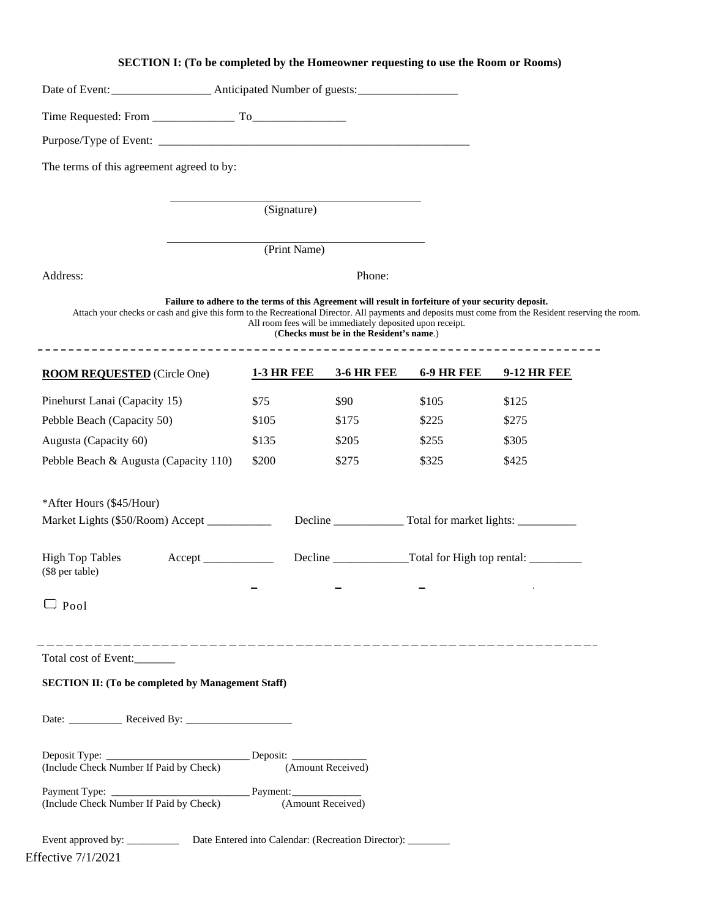# **SECTION I: (To be completed by the Homeowner requesting to use the Room or Rooms)**

| The terms of this agreement agreed to by:                |  |                   |              |                                                                                                       |                                                                                                      |                                                                                                                                                       |
|----------------------------------------------------------|--|-------------------|--------------|-------------------------------------------------------------------------------------------------------|------------------------------------------------------------------------------------------------------|-------------------------------------------------------------------------------------------------------------------------------------------------------|
|                                                          |  |                   | (Signature)  |                                                                                                       |                                                                                                      |                                                                                                                                                       |
|                                                          |  |                   | (Print Name) |                                                                                                       |                                                                                                      |                                                                                                                                                       |
| Address:                                                 |  |                   |              | Phone:                                                                                                |                                                                                                      |                                                                                                                                                       |
|                                                          |  |                   |              | All room fees will be immediately deposited upon receipt.<br>(Checks must be in the Resident's name.) | Failure to adhere to the terms of this Agreement will result in forfeiture of your security deposit. | Attach your checks or cash and give this form to the Recreational Director. All payments and deposits must come from the Resident reserving the room. |
| <b>ROOM REQUESTED</b> (Circle One)                       |  | <b>1-3 HR FEE</b> |              | <b>3-6 HR FEE</b>                                                                                     | <b>6-9 HR FEE</b>                                                                                    | <b>9-12 HR FEE</b>                                                                                                                                    |
| Pinehurst Lanai (Capacity 15)                            |  | \$75              |              | \$90                                                                                                  | \$105                                                                                                | \$125                                                                                                                                                 |
| Pebble Beach (Capacity 50)                               |  | \$105             |              | \$175                                                                                                 | \$225                                                                                                | \$275                                                                                                                                                 |
| Augusta (Capacity 60)                                    |  | \$135             |              | \$205                                                                                                 | \$255                                                                                                | \$305                                                                                                                                                 |
| Pebble Beach & Augusta (Capacity 110)                    |  | \$200             |              | \$275                                                                                                 | \$325                                                                                                | \$425                                                                                                                                                 |
| *After Hours (\$45/Hour)                                 |  |                   |              |                                                                                                       |                                                                                                      |                                                                                                                                                       |
| Market Lights (\$50/Room) Accept ___________             |  |                   |              |                                                                                                       | Decline ____________________ Total for market lights: __________________________                     |                                                                                                                                                       |
| <b>High Top Tables</b><br>(\$8 per table)                |  |                   |              |                                                                                                       |                                                                                                      |                                                                                                                                                       |
| $\Box$ Pool                                              |  |                   |              |                                                                                                       |                                                                                                      |                                                                                                                                                       |
| Total cost of Event:                                     |  |                   |              |                                                                                                       |                                                                                                      |                                                                                                                                                       |
| <b>SECTION II: (To be completed by Management Staff)</b> |  |                   |              |                                                                                                       |                                                                                                      |                                                                                                                                                       |
|                                                          |  |                   |              |                                                                                                       |                                                                                                      |                                                                                                                                                       |
|                                                          |  |                   |              | (Amount Received)                                                                                     |                                                                                                      |                                                                                                                                                       |
| (Include Check Number If Paid by Check)                  |  |                   |              |                                                                                                       |                                                                                                      |                                                                                                                                                       |